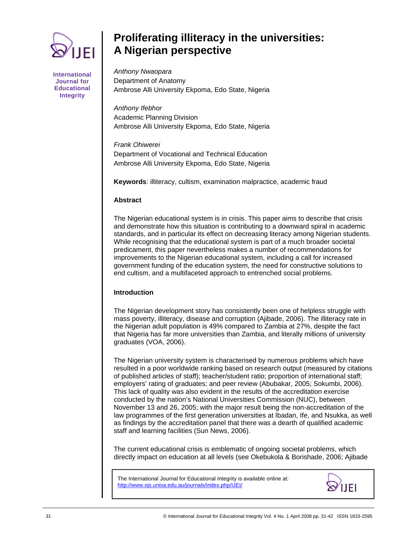

**International Journal for Educational Integrity** 

# **Proliferating illiteracy in the universities: A Nigerian perspective**

*Anthony Nwaopara*  Department of Anatomy Ambrose Alli University Ekpoma, Edo State, Nigeria

*Anthony Ifebhor*  Academic Planning Division Ambrose Alli University Ekpoma, Edo State, Nigeria

*Frank Ohiwerei* Department of Vocational and Technical Education Ambrose Alli University Ekpoma, Edo State, Nigeria

**Keywords**: illiteracy, cultism, examination malpractice, academic fraud

# **Abstract**

The Nigerian educational system is in crisis. This paper aims to describe that crisis and demonstrate how this situation is contributing to a downward spiral in academic standards, and in particular its effect on decreasing literacy among Nigerian students. While recognising that the educational system is part of a much broader societal predicament, this paper nevertheless makes a number of recommendations for improvements to the Nigerian educational system, including a call for increased government funding of the education system, the need for constructive solutions to end cultism, and a multifaceted approach to entrenched social problems.

# **Introduction**

The Nigerian development story has consistently been one of helpless struggle with mass poverty, illiteracy, disease and corruption (Ajibade, 2006). The illiteracy rate in the Nigerian adult population is 49% compared to Zambia at 27%, despite the fact that Nigeria has far more universities than Zambia, and literally millions of university graduates (VOA, 2006).

The Nigerian university system is characterised by numerous problems which have resulted in a poor worldwide ranking based on research output (measured by citations of published articles of staff); teacher/student ratio; proportion of international staff; employers' rating of graduates; and peer review (Abubakar, 2005; Sokumbi, 2006). This lack of quality was also evident in the results of the accreditation exercise conducted by the nation's National Universities Commission (NUC), between November 13 and 26, 2005; with the major result being the non-accreditation of the law programmes of the first generation universities at Ibadan, Ife, and Nsukka, as well as findings by the accreditation panel that there was a dearth of qualified academic staff and learning facilities (Sun News, 2006).

The current educational crisis is emblematic of ongoing societal problems, which directly impact on education at all levels (see Okebukola & Borishade, 2006; Ajibade

The International Journal for Educational Integrity is available online at: http://www.ojs.unisa.edu.au/journals/index.php/IJEI/

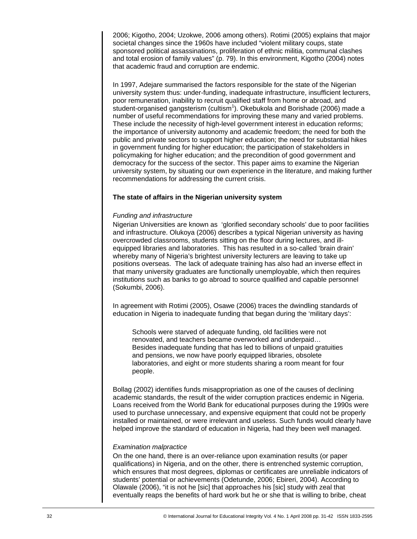2006; Kigotho, 2004; Uzokwe, 2006 among others). Rotimi (2005) explains that major societal changes since the 1960s have included "violent military coups, state sponsored political assassinations, proliferation of ethnic militia, communal clashes and total erosion of family values" (p. 79). In this environment, Kigotho (2004) notes that academic fraud and corruption are endemic.

In 1997, Adejare summarised the factors responsible for the state of the Nigerian university system thus: under-funding, inadequate infrastructure, insufficient lecturers, poor remuneration, inability to recruit qualified staff from home or abroad, and  $\frac{1}{1}$ student-organised gangsterism (cultism<sup>1</sup>). Okebukola and Borishade (2006) made a number of useful recommendations for improving these many and varied problems. These include the necessity of high-level government interest in education reforms; the importance of university autonomy and academic freedom; the need for both the public and private sectors to support higher education; the need for substantial hikes in government funding for higher education; the participation of stakeholders in policymaking for higher education; and the precondition of good government and democracy for the success of the sector. This paper aims to examine the Nigerian university system, by situating our own experience in the literature, and making further recommendations for addressing the current crisis.

## **The state of affairs in the Nigerian university system**

#### *Funding and infrastructure*

Nigerian Universities are known as 'glorified secondary schools' due to poor facilities and infrastructure. Olukoya (2006) describes a typical Nigerian university as having overcrowded classrooms, students sitting on the floor during lectures, and illequipped libraries and laboratories. This has resulted in a so-called 'brain drain' whereby many of Nigeria's brightest university lecturers are leaving to take up positions overseas. The lack of adequate training has also had an inverse effect in that many university graduates are functionally unemployable, which then requires institutions such as banks to go abroad to source qualified and capable personnel (Sokumbi, 2006).

In agreement with Rotimi (2005), Osawe (2006) traces the dwindling standards of education in Nigeria to inadequate funding that began during the 'military days':

Schools were starved of adequate funding, old facilities were not renovated, and teachers became overworked and underpaid… Besides inadequate funding that has led to billions of unpaid gratuities and pensions, we now have poorly equipped libraries, obsolete laboratories, and eight or more students sharing a room meant for four people.

Bollag (2002) identifies funds misappropriation as one of the causes of declining academic standards, the result of the wider corruption practices endemic in Nigeria. Loans received from the World Bank for educational purposes during the 1990s were used to purchase unnecessary, and expensive equipment that could not be properly installed or maintained, or were irrelevant and useless. Such funds would clearly have helped improve the standard of education in Nigeria, had they been well managed.

#### *Examination malpractice*

On the one hand, there is an over-reliance upon examination results (or paper qualifications) in Nigeria, and on the other, there is entrenched systemic corruption, which ensures that most degrees, diplomas or certificates are unreliable indicators of students' potential or achievements (Odetunde, 2006; Ebireri, 2004). According to Olawale (2006), "it is not he [sic] that approaches his [sic] study with zeal that eventually reaps the benefits of hard work but he or she that is willing to bribe, cheat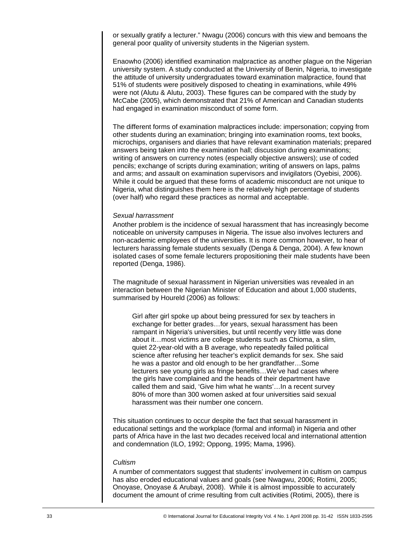or sexually gratify a lecturer." Nwagu (2006) concurs with this view and bemoans the general poor quality of university students in the Nigerian system.

Enaowho (2006) identified examination malpractice as another plague on the Nigerian university system. A study conducted at the University of Benin, Nigeria, to investigate the attitude of university undergraduates toward examination malpractice, found that 51% of students were positively disposed to cheating in examinations, while 49% were not (Alutu & Alutu, 2003). These figures can be compared with the study by McCabe (2005), which demonstrated that 21% of American and Canadian students had engaged in examination misconduct of some form.

The different forms of examination malpractices include: impersonation; copying from other students during an examination; bringing into examination rooms, text books, microchips, organisers and diaries that have relevant examination materials; prepared answers being taken into the examination hall; discussion during examinations; writing of answers on currency notes (especially objective answers); use of coded pencils; exchange of scripts during examination; writing of answers on laps, palms and arms; and assault on examination supervisors and invigilators (Oyebisi, 2006). While it could be argued that these forms of academic misconduct are not unique to Nigeria, what distinguishes them here is the relatively high percentage of students (over half) who regard these practices as normal and acceptable.

#### *Sexual harrassment*

Another problem is the incidence of sexual harassment that has increasingly become noticeable on university campuses in Nigeria. The issue also involves lecturers and non-academic employees of the universities. It is more common however, to hear of lecturers harassing female students sexually (Denga & Denga, 2004). A few known isolated cases of some female lecturers propositioning their male students have been reported (Denga, 1986).

The magnitude of sexual harassment in Nigerian universities was revealed in an interaction between the Nigerian Minister of Education and about 1,000 students, summarised by Houreld (2006) as follows:

Girl after girl spoke up about being pressured for sex by teachers in exchange for better grades…for years, sexual harassment has been rampant in Nigeria's universities, but until recently very little was done about it…most victims are college students such as Chioma, a slim, quiet 22-year-old with a B average, who repeatedly failed political science after refusing her teacher's explicit demands for sex. She said he was a pastor and old enough to be her grandfather…Some lecturers see young girls as fringe benefits…We've had cases where the girls have complained and the heads of their department have called them and said, 'Give him what he wants'…In a recent survey 80% of more than 300 women asked at four universities said sexual harassment was their number one concern.

This situation continues to occur despite the fact that sexual harassment in educational settings and the workplace (formal and informal) in Nigeria and other parts of Africa have in the last two decades received local and international attention and condemnation (ILO, 1992; Oppong, 1995; Mama, 1996).

#### *Cultism*

A number of commentators suggest that students' involvement in cultism on campus has also eroded educational values and goals (see Nwagwu, 2006; Rotimi, 2005; Onoyase, Onoyase & Arubayi, 2008). While it is almost impossible to accurately document the amount of crime resulting from cult activities (Rotimi, 2005), there is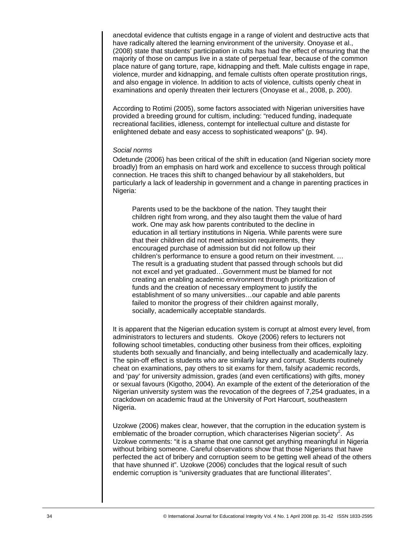anecdotal evidence that cultists engage in a range of violent and destructive acts that have radically altered the learning environment of the university. Onoyase et al., (2008) state that students' participation in cults has had the effect of ensuring that the majority of those on campus live in a state of perpetual fear, because of the common place nature of gang torture, rape, kidnapping and theft. Male cultists engage in rape, violence, murder and kidnapping, and female cultists often operate prostitution rings, and also engage in violence. In addition to acts of violence, cultists openly cheat in examinations and openly threaten their lecturers (Onoyase et al., 2008, p. 200).

According to Rotimi (2005), some factors associated with Nigerian universities have provided a breeding ground for cultism, including: "reduced funding, inadequate recreational facilities, idleness, contempt for intellectual culture and distaste for enlightened debate and easy access to sophisticated weapons" (p. 94).

#### *Social norms*

Odetunde (2006) has been critical of the shift in education (and Nigerian society more broadly) from an emphasis on hard work and excellence to success through political connection. He traces this shift to changed behaviour by all stakeholders, but particularly a lack of leadership in government and a change in parenting practices in Nigeria:

Parents used to be the backbone of the nation. They taught their children right from wrong, and they also taught them the value of hard work. One may ask how parents contributed to the decline in education in all tertiary institutions in Nigeria. While parents were sure that their children did not meet admission requirements, they encouraged purchase of admission but did not follow up their children's performance to ensure a good return on their investment. … The result is a graduating student that passed through schools but did not excel and yet graduated…Government must be blamed for not creating an enabling academic environment through prioritization of funds and the creation of necessary employment to justify the establishment of so many universities…our capable and able parents failed to monitor the progress of their children against morally, socially, academically acceptable standards.

It is apparent that the Nigerian education system is corrupt at almost every level, from administrators to lecturers and students. Okoye (2006) refers to lecturers not following school timetables, conducting other business from their offices, exploiting students both sexually and financially, and being intellectually and academically lazy. The spin-off effect is students who are similarly lazy and corrupt. Students routinely cheat on examinations, pay others to sit exams for them, falsify academic records, and 'pay' for university admission, grades (and even certifications) with gifts, money or sexual favours (Kigotho, 2004). An example of the extent of the deterioration of the Nigerian university system was the revocation of the degrees of 7,254 graduates, in a crackdown on academic fraud at the University of Port Harcourt, southeastern Nigeria.

Uzokwe (2006) makes clear, however, that the corruption in the education system is emblematic of the broader corruption, which characterises Nigerian society<sup>2</sup>. As Uzokwe comments: "it is a shame that one cannot get anything meaningful in Nigeria without bribing someone. Careful observations show that those Nigerians that have perfected the act of bribery and corruption seem to be getting well ahead of the others that have shunned it". Uzokwe (2006) concludes that the logical result of such endemic corruption is "university graduates that are functional illiterates".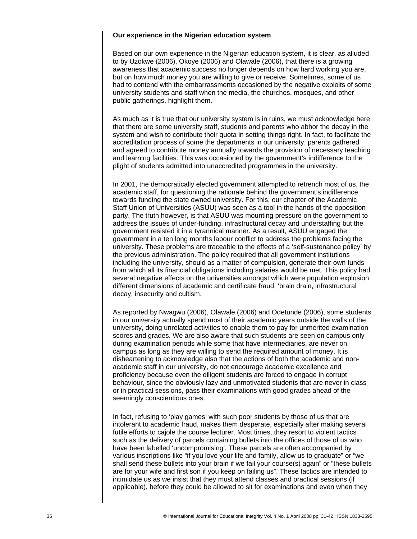## **Our experience in the Nigerian education system**

Based on our own experience in the Nigerian education system, it is clear, as alluded to by Uzokwe (2006), Okoye (2006) and Olawale (2006), that there is a growing awareness that academic success no longer depends on how hard working you are, but on how much money you are willing to give or receive. Sometimes, some of us had to contend with the embarrassments occasioned by the negative exploits of some university students and staff when the media, the churches, mosques, and other public gatherings, highlight them.

As much as it is true that our university system is in ruins, we must acknowledge here that there are some university staff, students and parents who abhor the decay in the system and wish to contribute their quota in setting things right. In fact, to facilitate the accreditation process of some the departments in our university, parents gathered and agreed to contribute money annually towards the provision of necessary teaching and learning facilities. This was occasioned by the government's indifference to the plight of students admitted into unaccredited programmes in the university.

In 2001, the democratically elected government attempted to retrench most of us, the academic staff, for questioning the rationale behind the government's indifference towards funding the state owned university. For this, our chapter of the Academic Staff Union of Universities (ASUU) was seen as a tool in the hands of the opposition party. The truth however, is that ASUU was mounting pressure on the government to address the issues of under-funding, infrastructural decay and understaffing but the government resisted it in a tyrannical manner. As a result, ASUU engaged the government in a ten long months labour conflict to address the problems facing the university. These problems are traceable to the effects of a 'self-sustenance policy' by the previous administration. The policy required that all government institutions including the university, should as a matter of compulsion, generate their own funds from which all its financial obligations including salaries would be met. This policy had several negative effects on the universities amongst which were population explosion, different dimensions of academic and certificate fraud, 'brain drain, infrastructural decay, insecurity and cultism.

As reported by Nwagwu (2006), Olawale (2006) and Odetunde (2006), some students in our university actually spend most of their academic years outside the walls of the university, doing unrelated activities to enable them to pay for unmerited examination scores and grades. We are also aware that such students are seen on campus only during examination periods while some that have intermediaries, are never on campus as long as they are willing to send the required amount of money. It is disheartening to acknowledge also that the actions of both the academic and nonacademic staff in our university, do not encourage academic excellence and proficiency because even the diligent students are forced to engage in corrupt behaviour, since the obviously lazy and unmotivated students that are never in class or in practical sessions, pass their examinations with good grades ahead of the seemingly conscientious ones.

In fact, refusing to 'play games' with such poor students by those of us that are intolerant to academic fraud, makes them desperate, especially after making several futile efforts to cajole the course lecturer. Most times, they resort to violent tactics such as the delivery of parcels containing bullets into the offices of those of us who have been labelled 'uncompromising'. These parcels are often accompanied by various inscriptions like "if you love your life and family, allow us to graduate" or "we shall send these bullets into your brain if we fail your course(s) again" or "these bullets are for your wife and first son if you keep on failing us". These tactics are intended to intimidate us as we insist that they must attend classes and practical sessions (if applicable), before they could be allowed to sit for examinations and even when they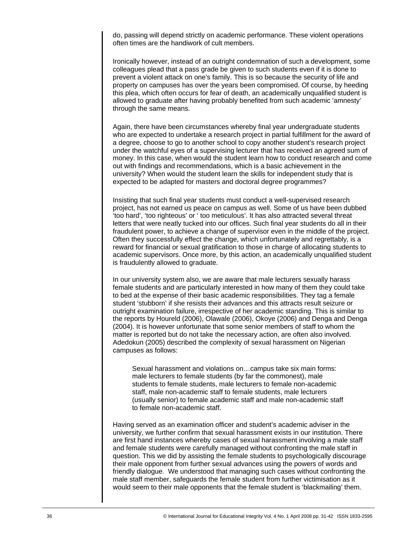do, passing will depend strictly on academic performance. These violent operations often times are the handiwork of cult members.

Ironically however, instead of an outright condemnation of such a development, some colleagues plead that a pass grade be given to such students even if it is done to prevent a violent attack on one's family. This is so because the security of life and property on campuses has over the years been compromised. Of course, by heeding this plea, which often occurs for fear of death, an academically unqualified student is allowed to graduate after having probably benefited from such academic 'amnesty' through the same means.

Again, there have been circumstances whereby final year undergraduate students who are expected to undertake a research project in partial fulfillment for the award of a degree, choose to go to another school to copy another student's research project under the watchful eyes of a supervising lecturer that has received an agreed sum of money. In this case, when would the student learn how to conduct research and come out with findings and recommendations, which is a basic achievement in the university? When would the student learn the skills for independent study that is expected to be adapted for masters and doctoral degree programmes?

Insisting that such final year students must conduct a well-supervised research project, has not earned us peace on campus as well. Some of us have been dubbed 'too hard', 'too righteous' or ' too meticulous'. It has also attracted several threat letters that were neatly tucked into our offices. Such final year students do all in their fraudulent power, to achieve a change of supervisor even in the middle of the project. Often they successfully effect the change, which unfortunately and regrettably, is a reward for financial or sexual gratification to those in charge of allocating students to academic supervisors. Once more, by this action, an academically unqualified student is fraudulently allowed to graduate.

In our university system also, we are aware that male lecturers sexually harass female students and are particularly interested in how many of them they could take to bed at the expense of their basic academic responsibilities. They tag a female student 'stubborn' if she resists their advances and this attracts result seizure or outright examination failure, irrespective of her academic standing. This is similar to the reports by Houreld (2006), Olawale (2006), Okoye (2006) and Denga and Denga (2004). It is however unfortunate that some senior members of staff to whom the matter is reported but do not take the necessary action, are often also involved. Adedokun (2005) described the complexity of sexual harassment on Nigerian campuses as follows:

Sexual harassment and violations on…campus take six main forms: male lecturers to female students (by far the commonest), male students to female students, male lecturers to female non-academic staff, male non-academic staff to female students, male lecturers (usually senior) to female academic staff and male non-academic staff to female non-academic staff.

Having served as an examination officer and student's academic adviser in the university, we further confirm that sexual harassment exists in our institution. There are first hand instances whereby cases of sexual harassment involving a male staff and female students were carefully managed without confronting the male staff in question. This we did by assisting the female students to psychologically discourage their male opponent from further sexual advances using the powers of words and friendly dialogue. We understood that managing such cases without confronting the male staff member, safeguards the female student from further victimisation as it would seem to their male opponents that the female student is 'blackmailing' them.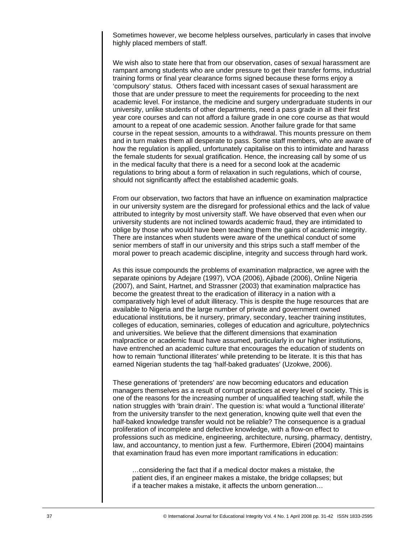Sometimes however, we become helpless ourselves, particularly in cases that involve highly placed members of staff.

We wish also to state here that from our observation, cases of sexual harassment are rampant among students who are under pressure to get their transfer forms, industrial training forms or final year clearance forms signed because these forms enjoy a 'compulsory' status. Others faced with incessant cases of sexual harassment are those that are under pressure to meet the requirements for proceeding to the next academic level. For instance, the medicine and surgery undergraduate students in our university, unlike students of other departments, need a pass grade in all their first year core courses and can not afford a failure grade in one core course as that would amount to a repeat of one academic session. Another failure grade for that same course in the repeat session, amounts to a withdrawal. This mounts pressure on them and in turn makes them all desperate to pass. Some staff members, who are aware of how the regulation is applied, unfortunately capitalise on this to intimidate and harass the female students for sexual gratification. Hence, the increasing call by some of us in the medical faculty that there is a need for a second look at the academic regulations to bring about a form of relaxation in such regulations, which of course, should not significantly affect the established academic goals.

From our observation, two factors that have an influence on examination malpractice in our university system are the disregard for professional ethics and the lack of value attributed to integrity by most university staff. We have observed that even when our university students are not inclined towards academic fraud, they are intimidated to oblige by those who would have been teaching them the gains of academic integrity. There are instances when students were aware of the unethical conduct of some senior members of staff in our university and this strips such a staff member of the moral power to preach academic discipline, integrity and success through hard work.

As this issue compounds the problems of examination malpractice, we agree with the separate opinions by Adejare (1997), VOA (2006), Ajibade (2006), Online Nigeria (2007), and Saint, Hartnet, and Strassner (2003) that examination malpractice has become the greatest threat to the eradication of illiteracy in a nation with a comparatively high level of adult illiteracy. This is despite the huge resources that are available to Nigeria and the large number of private and government owned educational institutions, be it nursery, primary, secondary, teacher training institutes, colleges of education, seminaries, colleges of education and agriculture, polytechnics and universities. We believe that the different dimensions that examination malpractice or academic fraud have assumed, particularly in our higher institutions, have entrenched an academic culture that encourages the education of students on how to remain 'functional illiterates' while pretending to be literate. It is this that has earned Nigerian students the tag 'half-baked graduates' (Uzokwe, 2006).

These generations of 'pretenders' are now becoming educators and education managers themselves as a result of corrupt practices at every level of society. This is one of the reasons for the increasing number of unqualified teaching staff, while the nation struggles with 'brain drain'. The question is: what would a 'functional illiterate' from the university transfer to the next generation, knowing quite well that even the half-baked knowledge transfer would not be reliable? The consequence is a gradual proliferation of incomplete and defective knowledge, with a flow-on effect to professions such as medicine, engineering, architecture, nursing, pharmacy, dentistry, law, and accountancy, to mention just a few. Furthermore, Ebireri (2004) maintains that examination fraud has even more important ramifications in education:

…considering the fact that if a medical doctor makes a mistake, the patient dies, if an engineer makes a mistake, the bridge collapses; but if a teacher makes a mistake, it affects the unborn generation…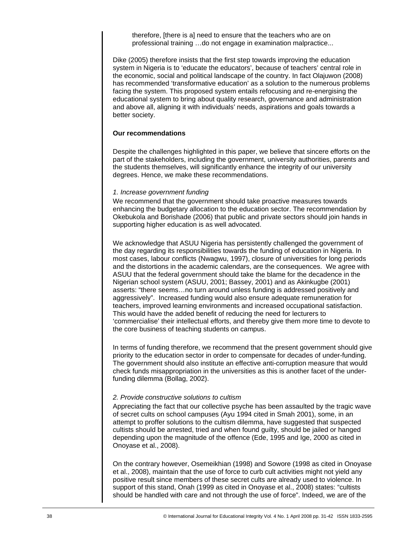therefore, [there is a] need to ensure that the teachers who are on professional training …do not engage in examination malpractice...

Dike (2005) therefore insists that the first step towards improving the education system in Nigeria is to 'educate the educators', because of teachers' central role in the economic, social and political landscape of the country. In fact Olajuwon (2008) has recommended 'transformative education' as a solution to the numerous problems facing the system. This proposed system entails refocusing and re-energising the educational system to bring about quality research, governance and administration and above all, aligning it with individuals' needs, aspirations and goals towards a better society.

#### **Our recommendations**

Despite the challenges highlighted in this paper, we believe that sincere efforts on the part of the stakeholders, including the government, university authorities, parents and the students themselves, will significantly enhance the integrity of our university degrees. Hence, we make these recommendations.

#### *1. Increase government funding*

We recommend that the government should take proactive measures towards enhancing the budgetary allocation to the education sector. The recommendation by Okebukola and Borishade (2006) that public and private sectors should join hands in supporting higher education is as well advocated.

We acknowledge that ASUU Nigeria has persistently challenged the government of the day regarding its responsibilities towards the funding of education in Nigeria. In most cases, labour conflicts (Nwagwu, 1997), closure of universities for long periods and the distortions in the academic calendars, are the consequences. We agree with ASUU that the federal government should take the blame for the decadence in the Nigerian school system (ASUU, 2001; Bassey, 2001) and as Akinkugbe (2001) asserts: "there seems…no turn around unless funding is addressed positively and aggressively". Increased funding would also ensure adequate remuneration for teachers, improved learning environments and increased occupational satisfaction. This would have the added benefit of reducing the need for lecturers to 'commercialise' their intellectual efforts, and thereby give them more time to devote to the core business of teaching students on campus.

In terms of funding therefore, we recommend that the present government should give priority to the education sector in order to compensate for decades of under-funding. The government should also institute an effective anti-corruption measure that would check funds misappropriation in the universities as this is another facet of the underfunding dilemma (Bollag, 2002).

## *2. Provide constructive solutions to cultism*

Appreciating the fact that our collective psyche has been assaulted by the tragic wave of secret cults on school campuses (Ayu 1994 cited in Smah 2001), some, in an attempt to proffer solutions to the cultism dilemma, have suggested that suspected cultists should be arrested, tried and when found guilty, should be jailed or hanged depending upon the magnitude of the offence (Ede, 1995 and Ige, 2000 as cited in Onoyase et al., 2008).

On the contrary however, Osemeikhian (1998) and Sowore (1998 as cited in Onoyase et al., 2008), maintain that the use of force to curb cult activities might not yield any positive result since members of these secret cults are already used to violence. In support of this stand, Onah (1999 as cited in Onoyase et al., 2008) states: "cultists should be handled with care and not through the use of force". Indeed, we are of the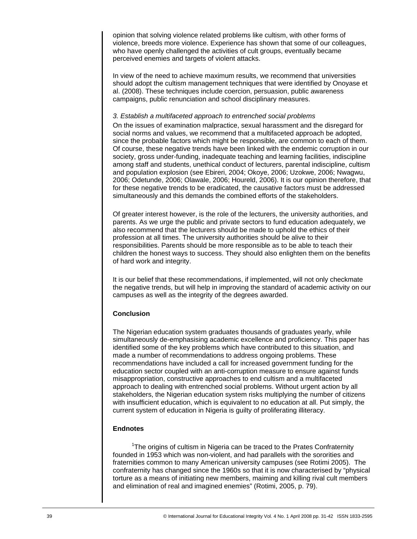opinion that solving violence related problems like cultism, with other forms of violence, breeds more violence. Experience has shown that some of our colleagues, who have openly challenged the activities of cult groups, eventually became perceived enemies and targets of violent attacks.

In view of the need to achieve maximum results, we recommend that universities should adopt the cultism management techniques that were identified by Onoyase et al. (2008). These techniques include coercion, persuasion, public awareness campaigns, public renunciation and school disciplinary measures.

#### *3. Establish a multifaceted approach to entrenched social problems*

On the issues of examination malpractice, sexual harassment and the disregard for social norms and values, we recommend that a multifaceted approach be adopted, since the probable factors which might be responsible, are common to each of them. Of course, these negative trends have been linked with the endemic corruption in our society, gross under-funding, inadequate teaching and learning facilities, indiscipline among staff and students, unethical conduct of lecturers, parental indiscipline, cultism and population explosion (see Ebireri, 2004; Okoye, 2006; Uzokwe, 2006; Nwagwu, 2006; Odetunde, 2006; Olawale, 2006; Houreld, 2006). It is our opinion therefore, that for these negative trends to be eradicated, the causative factors must be addressed simultaneously and this demands the combined efforts of the stakeholders.

Of greater interest however, is the role of the lecturers, the university authorities, and parents. As we urge the public and private sectors to fund education adequately, we also recommend that the lecturers should be made to uphold the ethics of their profession at all times. The university authorities should be alive to their responsibilities. Parents should be more responsible as to be able to teach their children the honest ways to success. They should also enlighten them on the benefits of hard work and integrity.

It is our belief that these recommendations, if implemented, will not only checkmate the negative trends, but will help in improving the standard of academic activity on our campuses as well as the integrity of the degrees awarded.

## **Conclusion**

The Nigerian education system graduates thousands of graduates yearly, while simultaneously de-emphasising academic excellence and proficiency. This paper has identified some of the key problems which have contributed to this situation, and made a number of recommendations to address ongoing problems. These recommendations have included a call for increased government funding for the education sector coupled with an anti-corruption measure to ensure against funds misappropriation, constructive approaches to end cultism and a multifaceted approach to dealing with entrenched social problems. Without urgent action by all stakeholders, the Nigerian education system risks multiplying the number of citizens with insufficient education, which is equivalent to no education at all. Put simply, the current system of education in Nigeria is guilty of proliferating illiteracy.

## **Endnotes**

<sup>1</sup>The origins of cultism in Nigeria can be traced to the Prates Confraternity founded in 1953 which was non-violent, and had parallels with the sororities and fraternities common to many American university campuses (see Rotimi 2005). The confraternity has changed since the 1960s so that it is now characterised by "physical torture as a means of initiating new members, maiming and killing rival cult members and elimination of real and imagined enemies" (Rotimi, 2005, p. 79).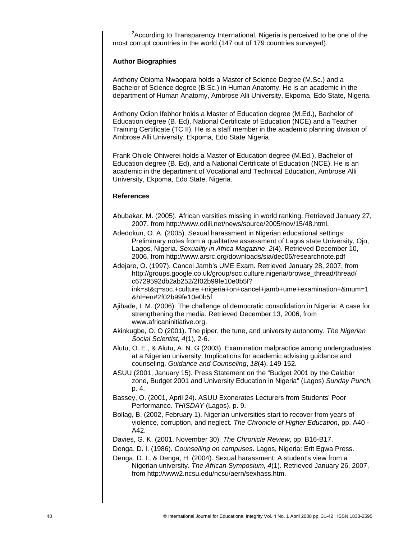$2$ According to Transparency International, Nigeria is perceived to be one of the most corrupt countries in the world (147 out of 179 countries surveyed).

## **Author Biographies**

Anthony Obioma Nwaopara holds a Master of Science Degree (M.Sc.) and a Bachelor of Science degree (B.Sc.) in Human Anatomy. He is an academic in the department of Human Anatomy, Ambrose Alli University, Ekpoma, Edo State, Nigeria.

Anthony Odion Ifebhor holds a Master of Education degree (M.Ed.), Bachelor of Education degree (B. Ed), National Certificate of Education (NCE) and a Teacher Training Certificate (TC II). He is a staff member in the academic planning division of Ambrose Alli University, Ekpoma, Edo State Nigeria.

Frank Ohiole Ohiwerei holds a Master of Education degree (M.Ed.), Bachelor of Education degree (B. Ed), and a National Certificate of Education (NCE). He is an academic in the department of Vocational and Technical Education, Ambrose Alli University, Ekpoma, Edo State, Nigeria.

## **References**

- Abubakar, M. (2005). African varsities missing in world ranking. Retrieved January 27, 2007, from http://www.odili.net/news/source/2005/nov/15/48.html.
- Adedokun, O. A. (2005). Sexual harassment in Nigerian educational settings: Preliminary notes from a qualitative assessment of Lagos state University, Ojo, Lagos, Nigeria. *Sexuality in Africa Magazine*, *2*(4). Retrieved December 10, 2006, from http://www.arsrc.org/downloads/sia/dec05/researchnote.pdf
- Adejare, O. (1997). Cancel Jamb's UME Exam. Retrieved January 28, 2007, from http://groups.google.co.uk/group/soc.culture.nigeria/browse\_thread/thread/ c6729592db2ab252/2f02b99fe10e0b5f? ink=st&q=soc.+culture.+nigeria+on+cancel+jamb+ume+examination+&mum=1

&hI=en#2f02b99fe10e0b5f

- Ajibade, I. M. (2006). The challenge of democratic consolidation in Nigeria: A case for strengthening the media. Retrieved December 13, 2006, from www.africaninitiative.org.
- Akinkugbe, O. O (2001). The piper, the tune, and university autonomy. *The Nigerian Social Scientist, 4*(1), 2-6.
- Alutu, O. E., & Alutu, A. N. G (2003). Examination malpractice among undergraduates at a Nigerian university: Implications for academic advising guidance and counseling. *Guidance and Counseling*, *18*(4), 149-152.
- ASUU (2001, January 15). Press Statement on the "Budget 2001 by the Calabar zone, Budget 2001 and University Education in Nigeria" (Lagos) *Sunday Punch,*  p. 4.
- Bassey, O. (2001, April 24). ASUU Exonerates Lecturers from Students' Poor Performance. *THISDAY* (Lagos), p. 9.
- Bollag, B. (2002, February 1). Nigerian universities start to recover from years of violence, corruption, and neglect. *The Chronicle of Higher Education*, pp. A40 - A42.

Davies, G. K. (2001, November 30). *The Chronicle Review*, pp. B16-B17.

- Denga, D. I. (1986). *Counselling on campuses*. Lagos, Nigeria: Erit Egwa Press.
- Denga, D. I., & Denga, H. (2004). Sexual harassment: A student's view from a Nigerian university. *The African Symposium, 4*(1). Retrieved January 26, 2007, from http://www2.ncsu.edu/ncsu/aern/sexhass.htm.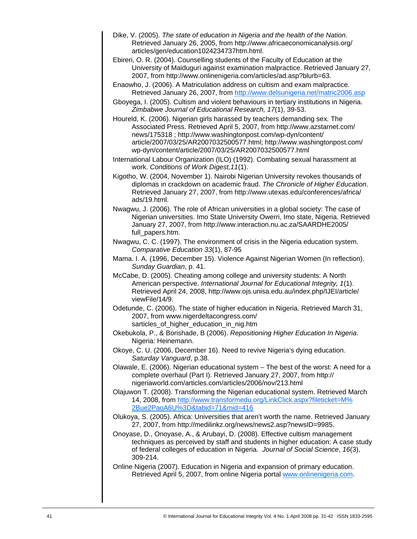- Dike, V. (2005). *The state of education in Nigeria and the health of the Nation*. Retrieved January 26, 2005, from http://www.africaeconomicanalysis.org/ articles/gen/education1024234737htm.html.
- Ebireri, O. R. (2004). Counselling students of the Faculty of Education at the University of Maiduguri against examination malpractice. Retrieved January 27, 2007, from http://www.onlinenigeria.com/articles/ad.asp?blurb=63.
- Enaowho, J. (2006). A Matriculation address on cultism and exam malpractice*.*  Retrieved January 26, 2007, from http://www.delsunigeria.net/matric2006.asp
- Gboyega, I. (2005). Cultism and violent behaviours in tertiary institutions in Nigeria. *Zimbabwe Journal of Educational Research, 17*(1), 39-53.
- Houreld, K. (2006). Nigerian girls harassed by teachers demanding sex*.* The Associated Press. Retrieved April 5, 2007, from http://www.azstarnet.com/ news/175318 ; http://www.washingtonpost.com/wp-dyn/content/ article/2007/03/25/AR2007032500577.html; http://www.washingtonpost.com/ wp-dyn/content/article/2007/03/25/AR2007032500577.html
- International Labour Organization (ILO) (1992). Combating sexual harassment at work. *Conditions of Work Digest,11*(1).
- Kigotho, W. (2004, November 1). Nairobi Nigerian University revokes thousands of diplomas in crackdown on academic fraud. *The Chronicle of Higher Education*. Retrieved January 27, 2007, from http://www.utexas.edu/conferences/africa/ ads/19.html.
- Nwagwu, J. (2006). The role of African universities in a global society: The case of Nigerian universities. Imo State University Owerri, Imo state, Nigeria. Retrieved January 27, 2007, from http://www.interaction.nu.ac.za/SAARDHE2005/ full\_papers.htm.
- Nwagwu, C. C. (1997). The environment of crisis in the Nigeria education system. *Comparative Education 33*(1), 87-95
- Mama. I. A. (1996, December 15). Violence Against Nigerian Women (In reflection). *Sunday Guardian*, p. 41.
- McCabe, D. (2005). Cheating among college and university students: A North American perspective. *International Journal for Educational Integrity, 1*(1). Retrieved April 24, 2008, http://www.ojs.unisa.edu.au/index.php/IJEI/article/ viewFile/14/9.
- Odetunde, C. (2006). The state of higher education in Nigeria. Retrieved March 31, 2007, from www.nigerdeltacongress.com/ sarticles\_of\_higher\_education\_in\_nig.htm
- Okebukola, P., & Borishade, B (2006). *Repositioning Higher Education In Nigeria*. Nigeria: Heinemann.
- Okoye, C. U. (2006, December 16). Need to revive Nigeria's dying education. *Saturday Vanguard*, p.38.
- Olawale, E. (2006). Nigerian educational system The best of the worst: A need for a complete overhaul (Part I). Retrieved January 27, 2007, from http:// nigeriaworld.com/articles.com/articles/2006/nov/213.html
- Olajuwon T. (2008). Transforming the Nigerian educational system. Retrieved March 14, 2008, from http://www.transformedu.org/LinkClick.aspx?fileticket=M% 2Bue2PaoA6U%3D&tabid=71&mid=416
- Olukoya, S. (2005). Africa: Universities that aren't worth the name. Retrieved January 27, 2007, from http://medilinkz.org/news/news2.asp?newsID=9985.
- Onoyase, D., Onoyase, A., & Arubayi, D. (2008). Effective cultism management techniques as perceived by staff and students in higher education: A case study of federal colleges of education in Nigeria. *Journal of Social Science*, *16*(3), 309-214.
- Online Nigeria (2007). Education in Nigeria and expansion of primary education. Retrieved April 5, 2007, from online Nigeria portal www.onlinenigeria.com.